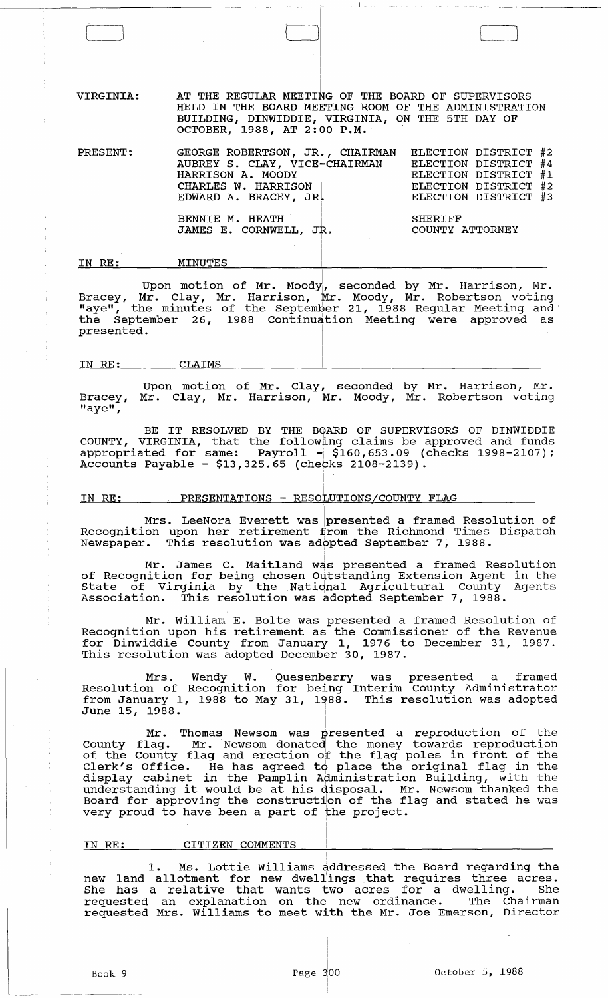VIRGINIA: AT THE REGULAR MEETING OF THE BOARD OF SUPERVISORS HELD IN THE BOARD MEETING ROOM OF THE ADMINISTRATION BUILDING, DINWIDDIE, VIRGINIA, ON THE 5TH DAY OF OCTOBER, 1988, AT  $2:00$  P.M.

PRESENT: GEORGE ROBERTSON, JR., CHAIRMAN AUBREY S. CLAY, VICE<del>-</del>CHAIRMAN HARRISON A. MOODY CHARLES W. HARRISON  $\parallel$  $EDWARD A. BRACEY, JR.$ BENNIE M. HEATH JAMES E. CORNWELL, JR. I ELECTION ELECTION ELECTION DISTRICT #1 ELECTION DISTRICT #2 ELECTION DISTRICT #3 SHERIFF DISTRICT #2 DISTRICT #4 COUNTY ATTORNEY

#### IN RE: MINUTES

Upon motion of Mr. Moody, seconded by Mr. Harrison, Mr. Bracey, Mr. Clay, Mr. Harrison, Mr. Moody, Mr. Robertson voting "aye", the minutes of the September 21, 1988 Regular Meeting and the September 26, 1988 continudtion Meeting were approved as presented. !

I

#### IN RE: CLAIMS

Upon motion of Mr. Clay, seconded by Mr. Harrison, Mr. Bracey, Mr. Clay, Mr. Harrison, Mr. Moody, Mr. Robertson voting  $"$ aye", Isomooyinka waxaa ah  $"$ 

I

BE IT RESOLVED BY THE BOARD OF SUPERVISORS OF DINWIDDIE COUNTY, VIRGINIA, that the following claims be approved and funds appropriated for same:  $Payroll - $160,653.09$  (checks  $1998-2107$ ); Accounts Payable - \$13,325.65 (checks 2108-2139).

# <u>IN RE: PRESENTATIONS - RESOLUTIONS/COUNTY FLAG</u>

Mrs. LeeNora Everett was  $\mid$ presented a framed Resolution of Recognition upon her retirement from the Richmond Times Dispatch Newspaper. This resolution was adopted September 7, 1988.

Mr. James C. Maitland was presented a framed Resolution of Recognition for being chosen outstanding Extension Agent in the State of Virginia by the National Agricultural County Agents Association. This resolution was adopted September 7, 1988.

Mr. William E. Bolte was presented a framed Resolution of Recognition upon his retirement as the Commissioner of the Revenue for Dinwiddie County from January 1, 1976 to December 31, 1987. This resolution was adopted December 30, 1987.

Mrs. Wendy W. Quesenb<mark>erry was presented a framed</mark> Resolution of Recognition for being Interim County Administrator from January 1, 1988 to May 31, 1988. This resolution was adopted June 15, 1988.  $\begin{array}{ccc} \texttt{June} & \texttt{15} \end{array}$ 

Mr. Thomas Newsom was  $\stackrel{\text{b}}{\text{presented}}$  a reproduction of the County flag. Mr. Newsom donated! the money towards reproduction of the County flag and erection of the flag poles in front of the Clerk's Office. He has agreed to place the original flag in the display cabinet in the Pamplin Administration Building, with the understanding it would be at his disposal. Mr. Newsom thanked the and for approving the construction of the flag and stated he was very proud to have been a part of the project.

### IN RE: CITIZEN COMMENTS

1. Ms. Lottie Williams addressed the Board regarding the new land allotment for new dwellings that requires three acres. She has a relative that wants two acres for a dwelling. She requested an explanation on thel new ordinance. The Chairman requested an explanation on the new ordinance. The Chairman requested Mrs. Williams to meet with the Mr. Joe Emerson, Director

I

I I I i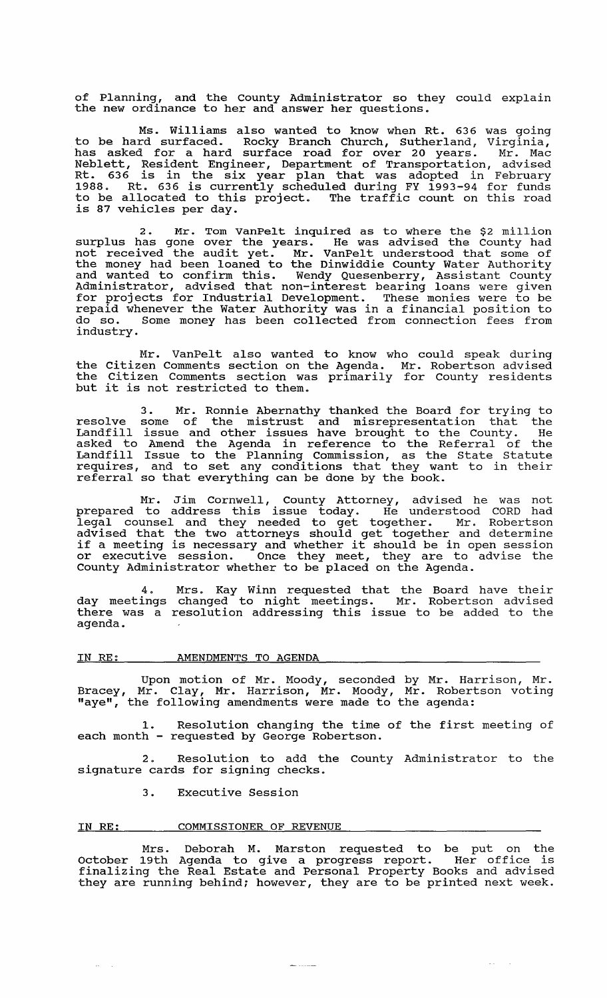of Planning, and the County Administrator so they could explain the new ordinance to her and answer her questions.

Ms. Williams also wanted to know when Rt. 636 was going to be hard surfaced. Rocky Branch Church, Sutherland, Virginia, has asked for a hard surface road for over 20 years. Mr. Mac Neblett, Resident Engineer, Department of Transportation, advised Rt. 636 is in the six year plan that was adopted in February 1988. Rt. 636 is currently scheduled during FY 1993-94 for funds to be allocated to this project. The traffic count on this road is 87 vehicles per day.

2. Mr. Tom VanPelt inquired as to where the \$2 million surplus has gone over the years. He was advised the County had not received the audit yet. Mr. VanPelt understood that some of the money had been loaned to the Dinwiddie County Water Authority and wanted to confirm this. Wendy Quesenberry, Assistant County Administrator, advised that non-interest bearing loans were given for projects for Industrial Development. These monies were to be repaid whenever the Water Authority was in a financial position to do so. Some money has been collected from connection fees from industry.

Mr. VanPelt also wanted to know who could speak during the citizen Comments section on the Agenda. Mr. Robertson advised the citizen Comments section was primarily for County residents but it is not restricted to them.

3. Mr. Ronnie Abernathy thanked the Board for trying to resolve some of the mistrust and misrepresentation that the Landfill issue and other issues have brought to the County. He asked to Amend the Agenda in reference to the Referral of the Landfill Issue to the Planning Commission, as the State Statute requires, and to set any conditions that they want to in their referral so that everything can be done by the book.

Mr. Jim Cornwell, County Attorney, advised he was not prepared to address this issue today. He understood CORD had legal counsel and they needed to get together. Mr. Robertson advised that the two attorneys should get together and determine if a meeting is necessary and whether it should be in open session or executive session. Once they meet, they are to advise the County Administrator whether to be placed on the Agenda.

4. Mrs. Kay Winn requested that the Board have their day meetings changed to night meetings. Mr. Robertson advised there was a resolution addressing this issue to be added to the agenda.

# IN RE: AMENDMENTS TO AGENDA

Upon motion of Mr. Moody, seconded by Mr. Harrison, Mr. Bracey, Mr. Clay, Mr. Harrison, Mr. Moody, Mr. Robertson voting "aye", the following amendments were made to the agenda:

1. Resolution changing the time of the first meeting of each month - requested by George Robertson.

2. Resolution to add the County Administrator to the signature cards for signing checks.

3. Executive Session

#### IN RE: COMMISSIONER OF REVENUE

 $\omega_{\rm{max}}$ 

Mrs. Deborah M. Marston requested to be put on the October 19th Agenda to give a progress report. Her office is finalizing the Real Estate and Personal Property Books and advised they are running behind; however, they are to be printed next week.

 $\frac{1}{2}$  and  $\frac{1}{2}$  and  $\frac{1}{2}$  and  $\frac{1}{2}$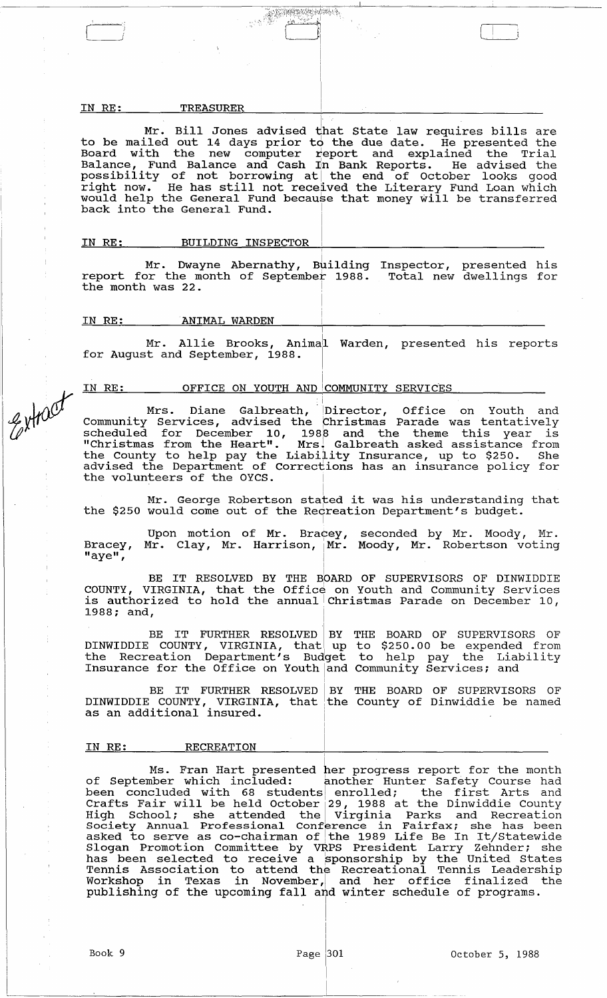#### IN RE: TREASURER

Mr. Bill Jones advised that State law requires bills are to be mailed out 14 days prior to the due date. He presented the Board with the new computer report and explained the Trial Balance, Fund Balance and Cash In Bank Reports. He advised the  $P$  and  $P$  is a set of  $P$  is a set of  $P$  in  $P$  in  $P$  in  $P$  is a set of  $P$  is a set of  $P$  is a set of  $P$  is a set of  $P$  is a set of  $P$  is a set of  $P$  is a set of  $P$  is a set of  $P$  is a set of  $P$  is a set of possibility of not bollowing at the end of october looks good<br>right now. He has still not received the Literary Fund Loan which right how. He has serif hot received the friendly rand four which back into the General Fund.

 $\Box$ 

### IN RE: BUILDING INSPECTOR

Mr. Dwayne Abernathy, Building report for the month of September 1988. Inspector, presented his Total new dwellings for the month was 22.

I

I

,

#### IN RE: ANIMAL WARDEN

Extract

I Mr. Allie Brooks, Animall Warden, presented his reports for August and September, 1988.

# <u>IN RE: OFFICE ON YOUTH AND COMMUNITY SERVICES</u>

Mrs. Diane Galbreath, Director, Office on Youth and Community Services, advised the Christmas Parade was tentatively scheduled for December 10, 1988 and the theme this year is "Christmas from the Heart". Mrsl Galbreath asked assistance from the County to help pay the Liability Insurance, up to \$250. She advised the Department of Corrections has an insurance policy for the volunteers of the OYCS.

Mr. George Robertson stated it was his understanding that the \$250 would come out of the Recreation Department's budget. I

Bracey, "aye", Upon motion of Mr. Bracey, seconded by Mr. Moody, Mr.<br>Mr. Clay, Mr. Harrison, Mr. Moody, Mr. Robertson voting I Moody, Mr. Robertson voting

BE IT RESOLVED BY THE BOARD OF SUPERVISORS OF DINWIDDIE COUNTY, VIRGINIA, that the Office on Youth and community Services coonii, vinginin, that the office on fouth and community bervices<br>is authorized to hold the annual Christmas Parade on December 10, 1988; and,

BE IT FURTHER RESOLVED BY DINWIDDIE COUNTY, VIRGINIA, that up The Recreation Department's Budget Insurance for the Office on Youth and THE BOARD OF SUPERVISORS OF to \$250.00 be expended from to help pay the Liability Community Services; and

BE IT FURTHER RESOLVED BY THE BOARD OF SUPERVISORS OF DINWIDDIE COUNTY, VIRGINIA, that the County of Dinwiddie be named as an additional insured.

#### IN RE: RECREATION

Ms. Fran Hart presented her progress report for the month of September which included: another Hunter Safety Course had of september which included: another hunter safety course had<br>been concluded with 68 students enrolled; the first Arts and Crafts Fair will be held October 29, 1988 at the Dinwiddie County High School; she attended the Virginia Parks and Recreation nigh bonooi, she attended the virginid rarks and Recreation<br>Society Annual Professional Conference in Fairfax; she has been<br>asked to serve as co-chairman of the 1989 Life Be In It/Statewide boored, Annuar Troressronar conference in Turrian, she has been<br>asked to serve as co-chairman of the 1989 Life Be In It/Statewide Slogan Promotion Committee by vRPS President Larry Zehnder; she biogan fromocron committee by value fresheene harry behader, she nas been sereeted to receive a sponsorship by the onreca beates Temis Association to actena the Recreational Temis Beaderbirg<br>Workshop in Texas in November, and her office finalized the publishing of the upcoming fall and winter schedule of programs.

I I

> I I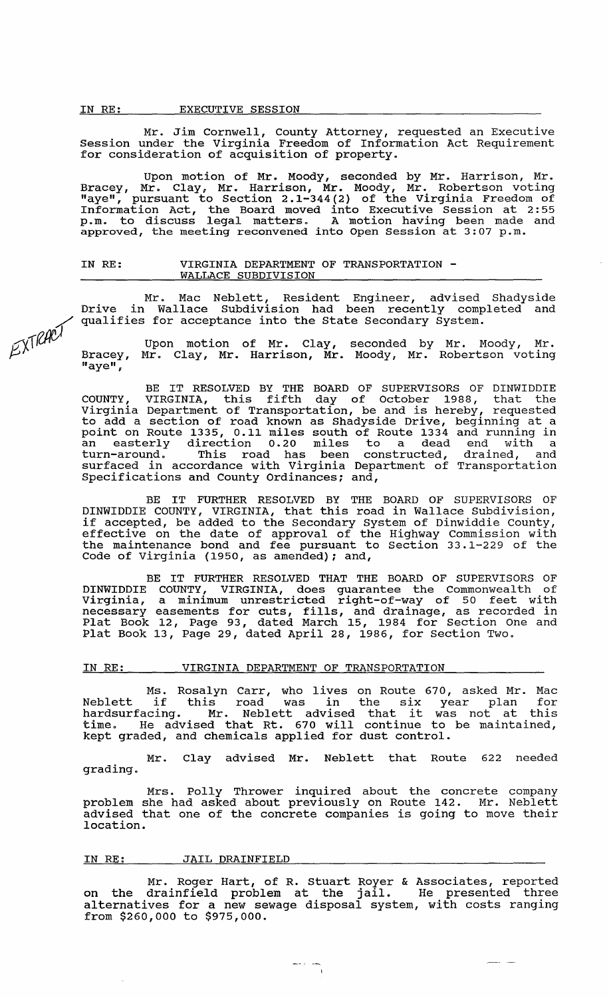EXTRACT

Mr. Jim Cornwell, County Attorney, requested an Executive Session under the virginia Freedom of Information Act Requirement for consideration of acquisition of property.

Upon motion of Mr. Moody, seconded by Mr. Harrison, Mr. Bracey, Mr. Clay, Mr. Harrison, Mr. Moody, Mr. Robertson voting "aye", pursuant to section 2 .1-344 (2) of the Virginia Freedom of Information Act, the Board moved into Executive Session at 2: 55 p.m. to discuss legal matters. A motion having been made and approved, the meeting reconvened into Open Session at 3:07 p.m.

# IN RE: **VIRGINIA DEPARTMENT OF TRANSPORTATION -**<br>WALLACE SUBDIVISION

Mr. Mac Neblett, Resident Engineer, advised Shadyside Drive in Wallace Subdivision had been recently completed and qualifies for acceptance into the State Secondary System.

Bracey,  $"$ aye", Upon motion of Mr. Clay, Mr. Clay, Mr. Harrison, Mr. seconded by Mr. Moody, Mr. Moody, Mr. Robertson voting

BE IT RESOLVED BY THE BOARD OF SUPERVISORS OF DINWIDDIE<br>COUNTY, VIRGINIA, this fifth day of October 1988, that the Virginia Department of Transportation, be and is hereby, requested to add a section of road known as Shadyside Drive, beginning at a point on Route 1335, 0.11 miles south of Route 1334 and running in an easterly direction 0.20 miles to a dead end with a turn-around. This road has been constructed, drained, and surfaced in accordance with Virginia Department of Transportation Specifications and County Ordinances; and,

BE IT FURTHER RESOLVED BY THE BOARD OF SUPERVISORS OF DINWIDDIE COUNTY, VIRGINIA, that this road in Wallace Subdivision, if accepted, be added to the Secondary System of Dinwiddie County, It decopoca, so added to the Becommany system of Binninghie county, the maintenance bond and fee pursuant to section 33.1-229 of the Code of Virginia (1950, as amended); and,

BE IT FURTHER RESOLVED THAT THE BOARD OF SUPERVISORS OF DINWIDDIE COUNTY, VIRGINIA, does guarantee the Commonwealth of Virginia, a minimum unrestricted right-of-way of 50 feet with necessary easements for cuts, fills, and drainage, as recorded in Plat Book 12, Page 93, dated March 15, 1984 for section One and Plat Book 13, Page 29, dated April 28, 1986, for section Two.

### IN RE: VIRGINIA DEPARTMENT OF TRANSPORTATION

Ms. Rosalyn Carr, who lives on Route 670, asked Mr. Mac Neblett if this road was in the six year plan for Neblett if this road was in the six year plan for<br>hardsurfacing. Mr. Neblett advised that it was not at this time. He advised that Rt. 670 will continue to be maintained, kept graded, and chemicals applied for dust control.

Mr. Clay advised Mr. Neblett that Route 622 needed grading.

Mrs. Polly Thrower inquired about the concrete company problem she had asked about previously on Route 142. Mr. Neblett advised that one of the concrete companies is going to move their location.

### IN RE: JAIL DRAINFIELD

Mr. Roger Hart, of R. Stuart Royer & Associates, reported on the drainfield problem at the jail. He presented three alternatives for a new sewage disposal system, with costs ranging from \$260,000 to \$975,000.

 $\frac{1}{\sqrt{1-\frac{1}{2}}}$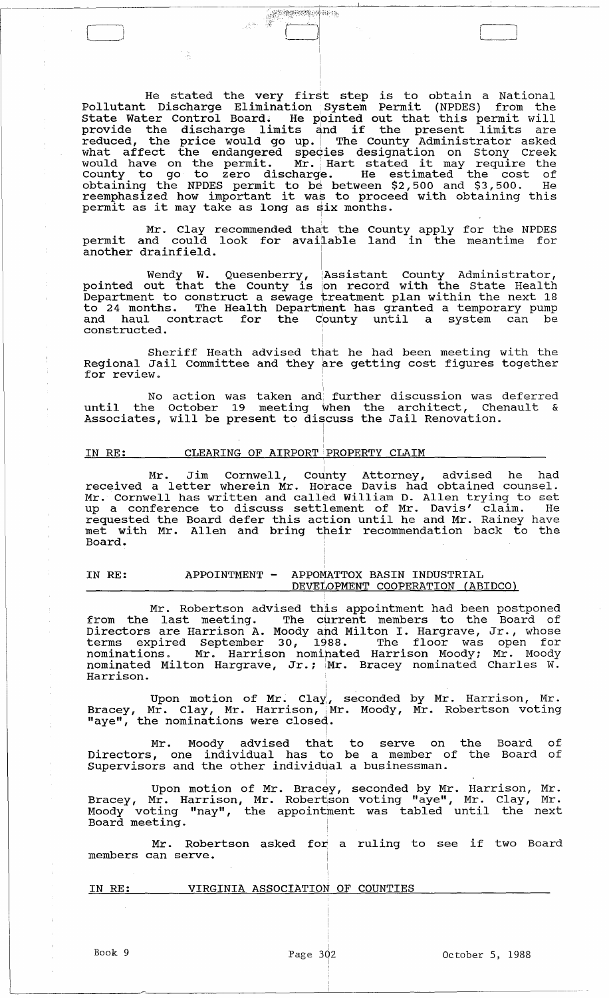He stated the very first step is to obtain a National Pollutant Discharge Elimination System Permit (NPDES) from the state Water Control Board. He pointed out that this permit will state water control board. He pointed out that this permit will reduced, the price would go up. The County Administrator asked what affect the endangered species designation on Stony Creek<br>would have on the permit. Mr. Hart stated it may require the County to go to zero discharge. He estimated the cost of obtaining the NPDES permit to be between \$2,500 and \$3,500. He reemphasized how important it was to proceed with obtaining this reemphasized how important it was to proce<br>permit as it may take as long as six months.

Mr. Clay recommended that the County apply for the NPDES permit and could look for available land in the meantime for another drainfield.

Wendy W. Quesenberry, Assistant County Administrator, pointed out that the County is on record with the State Health Department to construct a sewage treatment plan within the next 18 to 24 months. The Health Department has granted a temporary pump and haul contract for the County until a system can be constructed.

Sheriff Heath advised that he had been meeting with the Regional Jail Committee and they are getting cost figures together for review.

No action was taken and further discussion was deferred until the October 19 meeting when the architect, Chenault & Associates, will be present to discuss the Jail Renovation.

I

#### IN RE: ¦, CLEARING OF AIRPORT 'PROPERTY CLAIM

Mr. Jim Cornwell, County Attorney, advised he had received a letter wherein Mr. Horace Davis had obtained counsel. Mr. Cornwell has written and call~d William D. Allen trying to set up a conference to discuss settlement of Mr. Davis' claim. He requested the Board defer this action until he and Mr. Rainey have requested the board defer this action until he and hi. Kaincy have Board.

#### IN RE: APPOINTMENT - APPOMATTOX BASIN INDUSTRIAL DEVELOPMENT COOPERATION (ABIDCO)

Mr. Robertson advised this appointment had been postponed from the last meeting. The current members to the Board of Directors are Harrison A. Moody and Milton I. Hargrave, Jr., whose terms expired September 30, 1988. The floor was open for nominations. Mr. Harrison nominated Harrison Moody; Mr. Moody<br>nominated Milton Hargrave, Jr.; Mr. Bracey nominated Charles W. Harrison.

Upon motion of Mr. Clay, seconded by Mr. Harrison, Mr. Bracey, Mr. Clay, Mr. Harrison, Mr. Moody, Mr. Robertson voting "aye", the nominations were closed.

Mr. Moody advised that to serve on the Directors, one individual has to be a member of the supervisors and the other individual a businessman. Board of Board of

Upon motion of Mr. Brac $_{\rm Y}$ , seconded by Mr. Harrison, Mr. Bracey, Mr. Harrison, Mr. Robertson voting "aye", Mr. Clay, Mr. Moody voting "nay", the appointment was tabled until the next Board meeting.

Mr. Robertson asked for a ruling to see if two Board members can serve. I

| IN RE: | VIRGINIA ASSOCIATION OF COUNTIES |  |
|--------|----------------------------------|--|
|        |                                  |  |

 $\Box$ 

Book 9  $Page\ 302$  October 5, 1988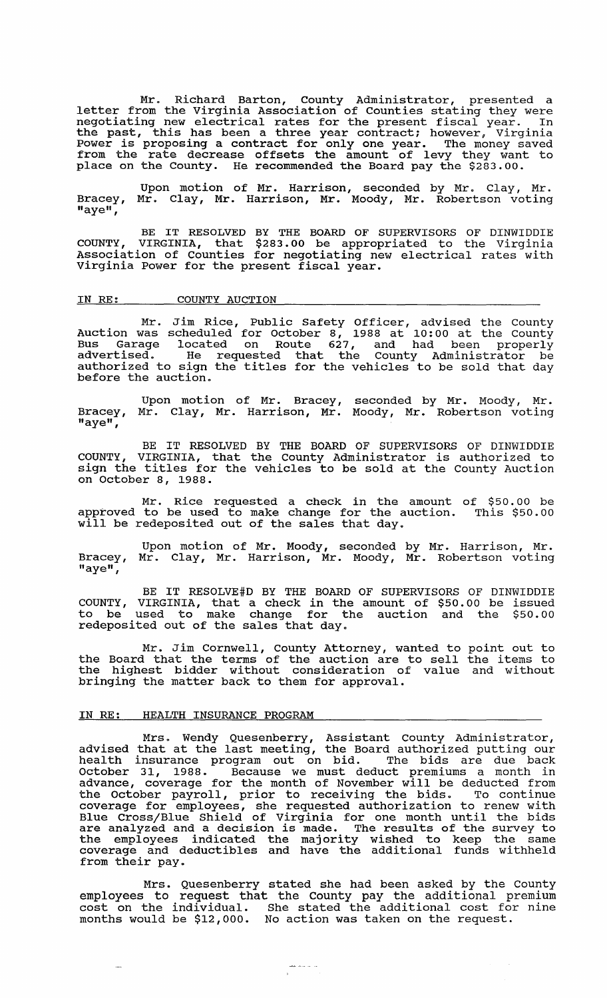Mr. Richard Barton, county Administrator, presented a letter from the Virginia Association of Counties stating they were negotiating new electrical rates for the present fiscal year. In the past, this has been a three year contract; however, Virginia Power is proposing a contract for only one year. The money saved from the rate decrease offsets the amount of levy they want to place on the County. He recommended the Board pay the \$283.00.

Upon motion of Mr. Harrison, seconded by Mr. Clay, Mr. Bracey, "aye", Mr. Clay, Mr. Harrison, Mr. Moody, Mr. Robertson voting

BE IT RESOLVED BY THE BOARD OF SUPERVISORS OF DINWIDDIE COUNTY, VIRGINIA, that \$283.00 be appropriated to the Virginia Association of Counties for negotiating new electrical rates with Virginia Power for the present fiscal year.

### IN RE: COUNTY AUCTION

Mr. Jim Rice, Public Safety Officer, advised the County Auction was scheduled for October 8, 1988 at 10:00 at the County Bus Garage located on Route 627, and had been properly advertised. He requested that the County Administrator be autercrised: The requested that the county Administrator be<br>authorized to sign the titles for the vehicles to be sold that day<br>before the auction.

Bracey, "aye", Upon motion of Mr. Bracey, Mr. Clay, Mr. Harrison, Mr. seconded by Mr. Moody, Mr. Moody, Mr. Robertson voting

BE IT RESOLVED BY THE BOARD OF SUPERVISORS OF DINWIDDIE COUNTY, VIRGINIA, that the County Administrator is authorized to sign the titles for the vehicles to be sold at the County Auction on October 8, 1988.

Mr. Rice requested a check in the amount approved to be used to make change for the auction. will be redeposited out of the sales that day. of \$50.00 be This \$50.00

Upon motion of Mr. Moody, seconded by Mr. Harrison, Mr. Bracey, Mr. Clay, Mr. Harrison, Mr. Moody, Mr. Robertson voting "aye",

BE IT RESOLVE#D BY THE BOARD OF SUPERVISORS OF DINWIDDIE COUNTY, VIRGINIA, that a check in the amount of  $$50.00$  be issued to be used to make change for the auction and the \$50.00 redeposited out of the sales that day.

Mr. Jim Cornwell, County Attorney, wanted to the Board that the terms of the auction are to sell the highest bidder without consideration of value bringing the matter back to them for approval. point out to the items to and without

### IN RE: HEALTH INSURANCE PROGRAM

Mrs. Wendy Quesenberry, Assistant County Administrator, advised that at the last meeting, the Board authorized putting our davised that at the fast metting, the board dathorized patting our October 31, 1988. Because we must deduct premiums a month in advance, coverage for the month of November will be deducted from the October payroll, prior to receiving the bids. To continue coverage for employees, she requested authorization to renew with Blue Cross/Blue Shield of Virginia for one month until the bids are analyzed and a decision is made. The results of the survey to the employees indicated the majority wished to keep the same che emproyees indicated and have the additional funds withheld from their pay.

Mrs. Quesenberry stated she had been asked by the county employees to request that the County pay the additional premium cost on the individual. She stated the additional cost for nine months would be \$12,000. No action was taken on the request.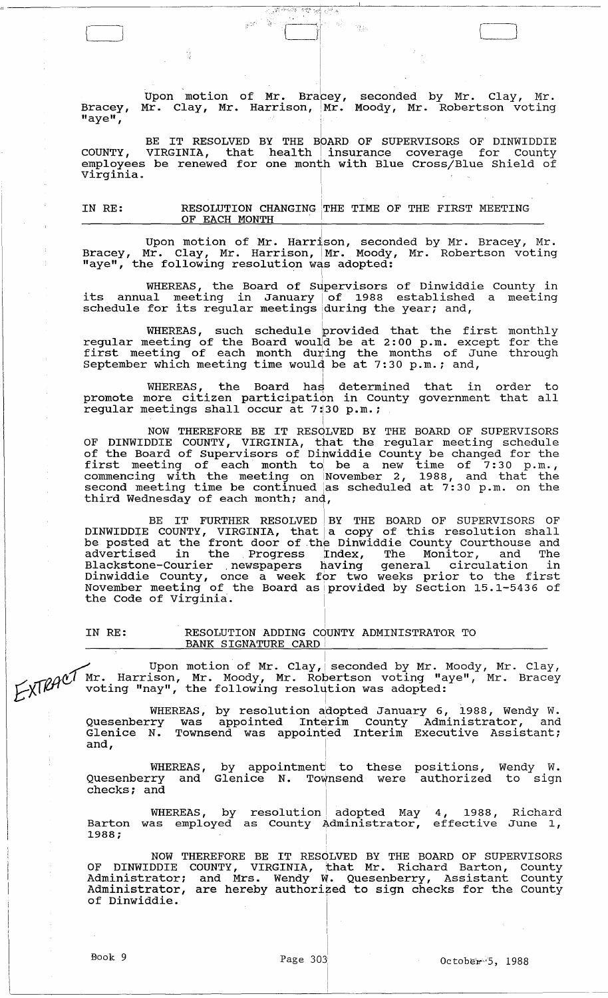Bracey, "aye", Upon motion of Mr. Bracey,  $\texttt{Mr.}$  Clay, Mr. Harrison,  $\texttt{Mr.}$ I seconded by Mr. Clay, Mr. Moody, Mr. Robertson voting

I I I

Ýд.

 $\vert$ 

.' .,0- "".:', ','? '"'I ,.,; " i (-H I

BE IT RESOLVED BY THE BOARD OF SUPERVISORS OF DINWIDDIE COUNTY, VIRGINIA, that health insurance coverage for County employees be renewed for one month with Blue Cross/Blue Shield of virginia.

I

IN RE: RESOLUTION CHANGING THE TIME OF THE FIRST MEETING OF EACH MONTH

Upon motion of Mr. Harrison, seconded by Mr. Bracey, Mr. Bracey, Mr. Clay, Mr. Harrison, Mr. Moody, Mr. Robertson voting "aye", the following resolution was adopted:

WHEREAS, the Board of Supervisors of Dinwiddie County in its annual meeting in January of 1988 established a meeting its annual meeting in January of 1966 established<br>schedule for its regular meetings during the year; and,

WHEREAS, such schedule provided that the first monthly regular meeting of the Board would be at 2:00 p.m. except for the first meeting of the board would be at 2.00 p.m. except for the<br>first meeting of each month during the months of June through September which meeting time would be at 7:30 p.m.; and,

WHEREAS, the Board has determined that in order to promote more citizen participation in County government that all regular meetings shall occur at 7:30 p.m.;

I

NOW THEREFORE BE IT RESOLVED BY THE BOARD OF SUPERVISORS OF DINWIDDIE COUNTY, VIRGINIA, that the regular meeting schedule of the Board of supervisors of Dihwiddie County be changed for the first meeting of each month to be a new time of  $7:30$  p.m., commencing with the meeting on November 2, 1988, and that the second meeting time be continued jas scheduled at 7:30 p.m. on the become meeting time be continued as

BE IT FURTHER RESOLVED BY THE BOARD OF SUPERVISORS OF DINWIDDIE COUNTY, VIRGINIA, that a copy of this resolution shall be posted at the front door of the Dinwiddie County Courthouse and advertised in the Progress Index, The Monitor, and The and circuit in the riverse finally incommunically and incommunication in Dinwiddie county, once a week for two weeks prior to the first November meeting of the Board asiprovided by section 15.1-5436 of the Code of Virginia.

I

IN RE: RESOLUTION ADDING COUNTY ADMINISTRATOR TO

BANK SIGNATURE CARD<br>Upon motion of Mr. Clay, seconded by Mr. Moody, Mr. Clay,  $\text{F}\text{N}\text{R}\theta^{\text{c}}$  Mr. Harrison, Mr. Moody, Mr. Robertson voting "aye", Mr. Bracey voting "nay", the following resolution was adopted:

WHEREAS, by resolution aldopted January 6, 1988, Wendy W. Quesenberry was appointed Interim County Administrator, and gassemberry was appointed interim coding numiniberates, and and, i.e.,  $\begin{bmatrix} 1 & 1 \\ 1 & 1 \end{bmatrix}$ 

WHEREAS, Quesenberry and checks; and by appointment to these Glenice N. Townsend were positions, authorized Wendy W. to sign

WHEREAS, by resolution $\vert$ was employed resolution! adopted May as County Administrator, 4, 1988, Barton was employed as County Administrator, effective  $1988;$ Richard June 1,

I

NOW THEREFORE BE IT RESOLVED BY THE BOARD OF SUPERVISORS OF DINWIDDIE COUNTY, VIRGINIA, that Mr. Richard Barton, County Administrator; and Mrs. Wendy W. Quesenberry, Assistant County Administrator, are hereby authorized to sign checks for the County of Dinwiddie.

 $\begin{pmatrix} 1 & 1 \\ 1 & 1 \end{pmatrix}$ 

Ŵ